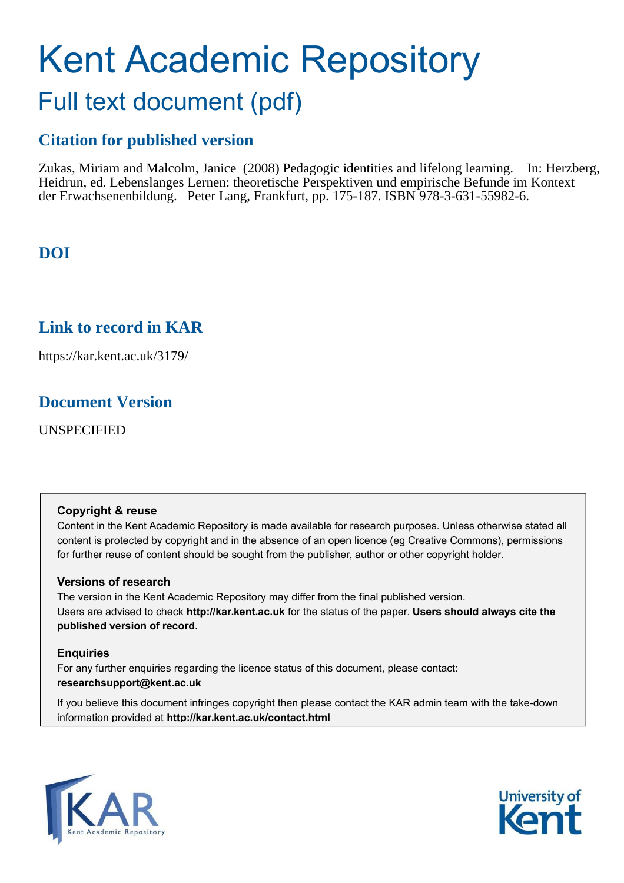# Kent Academic Repository Full text document (pdf)

# **Citation for published version**

Zukas, Miriam and Malcolm, Janice (2008) Pedagogic identities and lifelong learning. In: Herzberg, Heidrun, ed. Lebenslanges Lernen: theoretische Perspektiven und empirische Befunde im Kontext der Erwachsenenbildung. Peter Lang, Frankfurt, pp. 175-187. ISBN 978-3-631-55982-6.

# **DOI**

# **Link to record in KAR**

https://kar.kent.ac.uk/3179/

# **Document Version**

UNSPECIFIED

#### **Copyright & reuse**

Content in the Kent Academic Repository is made available for research purposes. Unless otherwise stated all content is protected by copyright and in the absence of an open licence (eg Creative Commons), permissions for further reuse of content should be sought from the publisher, author or other copyright holder.

#### **Versions of research**

The version in the Kent Academic Repository may differ from the final published version. Users are advised to check **http://kar.kent.ac.uk** for the status of the paper. **Users should always cite the published version of record.**

#### **Enquiries**

For any further enquiries regarding the licence status of this document, please contact: **researchsupport@kent.ac.uk**

If you believe this document infringes copyright then please contact the KAR admin team with the take-down information provided at **http://kar.kent.ac.uk/contact.html**



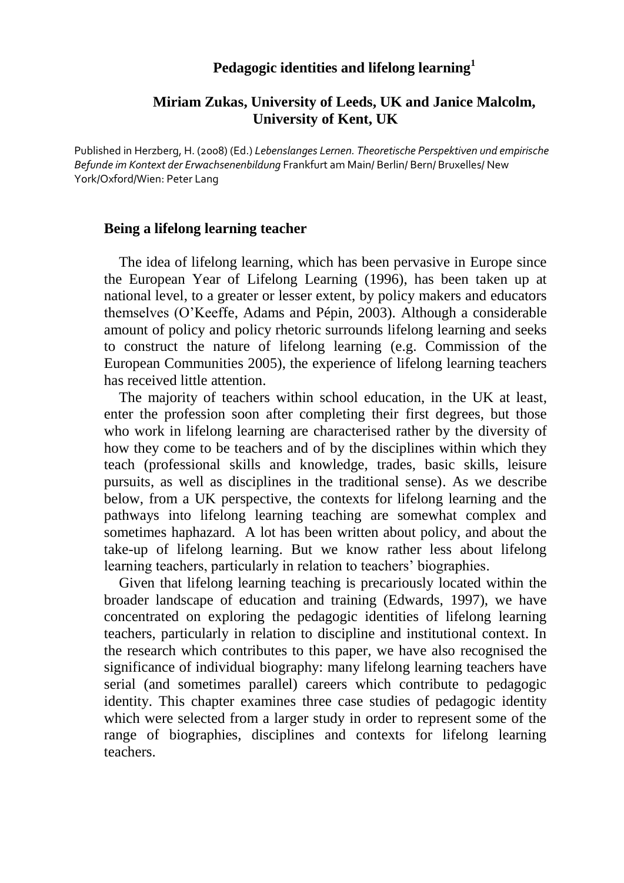# **Pedagogic identities and lifelong learning<sup>1</sup>**

## **Miriam Zukas, University of Leeds, UK and Janice Malcolm, University of Kent, UK**

Published in Herzberg, H. (2008) (Ed.) *Lebenslanges Lernen. Theoretische Perspektiven und empirische Befunde im Kontext der Erwachsenenbildung* Frankfurt am Main/ Berlin/ Bern/ Bruxelles/ New York/Oxford/Wien: Peter Lang

#### **Being a lifelong learning teacher**

The idea of lifelong learning, which has been pervasive in Europe since the European Year of Lifelong Learning (1996), has been taken up at national level, to a greater or lesser extent, by policy makers and educators themselves (O'Keeffe, Adams and Pépin, 2003). Although a considerable amount of policy and policy rhetoric surrounds lifelong learning and seeks to construct the nature of lifelong learning (e.g. Commission of the European Communities 2005), the experience of lifelong learning teachers has received little attention.

The majority of teachers within school education, in the UK at least, enter the profession soon after completing their first degrees, but those who work in lifelong learning are characterised rather by the diversity of how they come to be teachers and of by the disciplines within which they teach (professional skills and knowledge, trades, basic skills, leisure pursuits, as well as disciplines in the traditional sense). As we describe below, from a UK perspective, the contexts for lifelong learning and the pathways into lifelong learning teaching are somewhat complex and sometimes haphazard. A lot has been written about policy, and about the take-up of lifelong learning. But we know rather less about lifelong learning teachers, particularly in relation to teachers' biographies.

Given that lifelong learning teaching is precariously located within the broader landscape of education and training (Edwards, 1997), we have concentrated on exploring the pedagogic identities of lifelong learning teachers, particularly in relation to discipline and institutional context. In the research which contributes to this paper, we have also recognised the significance of individual biography: many lifelong learning teachers have serial (and sometimes parallel) careers which contribute to pedagogic identity. This chapter examines three case studies of pedagogic identity which were selected from a larger study in order to represent some of the range of biographies, disciplines and contexts for lifelong learning teachers.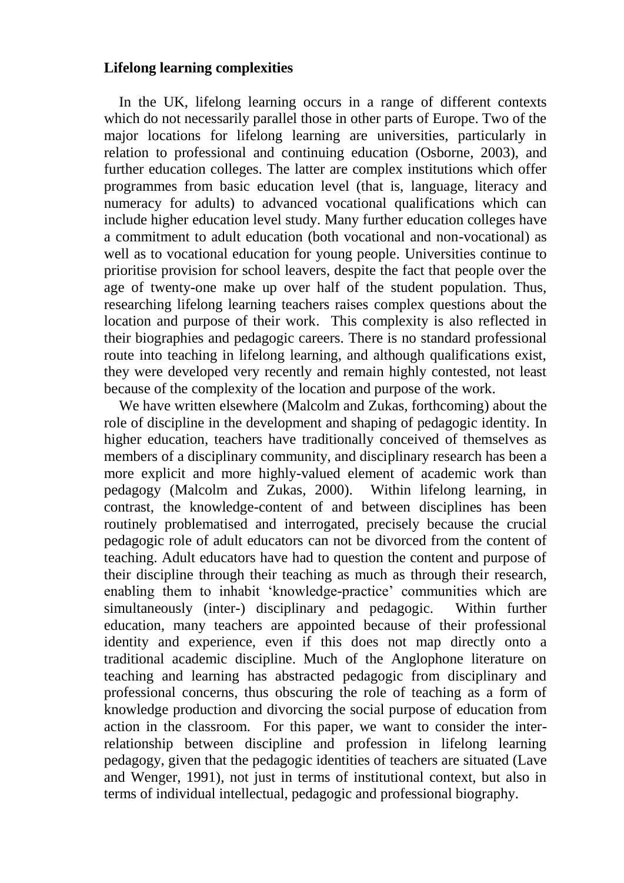## **Lifelong learning complexities**

In the UK, lifelong learning occurs in a range of different contexts which do not necessarily parallel those in other parts of Europe. Two of the major locations for lifelong learning are universities, particularly in relation to professional and continuing education (Osborne, 2003), and further education colleges. The latter are complex institutions which offer programmes from basic education level (that is, language, literacy and numeracy for adults) to advanced vocational qualifications which can include higher education level study. Many further education colleges have a commitment to adult education (both vocational and non-vocational) as well as to vocational education for young people. Universities continue to prioritise provision for school leavers, despite the fact that people over the age of twenty-one make up over half of the student population. Thus, researching lifelong learning teachers raises complex questions about the location and purpose of their work. This complexity is also reflected in their biographies and pedagogic careers. There is no standard professional route into teaching in lifelong learning, and although qualifications exist, they were developed very recently and remain highly contested, not least because of the complexity of the location and purpose of the work.

We have written elsewhere (Malcolm and Zukas, forthcoming) about the role of discipline in the development and shaping of pedagogic identity. In higher education, teachers have traditionally conceived of themselves as members of a disciplinary community, and disciplinary research has been a more explicit and more highly-valued element of academic work than pedagogy (Malcolm and Zukas, 2000). Within lifelong learning, in contrast, the knowledge-content of and between disciplines has been routinely problematised and interrogated, precisely because the crucial pedagogic role of adult educators can not be divorced from the content of teaching. Adult educators have had to question the content and purpose of their discipline through their teaching as much as through their research, enabling them to inhabit 'knowledge-practice' communities which are simultaneously (inter-) disciplinary and pedagogic. Within further education, many teachers are appointed because of their professional identity and experience, even if this does not map directly onto a traditional academic discipline. Much of the Anglophone literature on teaching and learning has abstracted pedagogic from disciplinary and professional concerns, thus obscuring the role of teaching as a form of knowledge production and divorcing the social purpose of education from action in the classroom. For this paper, we want to consider the interrelationship between discipline and profession in lifelong learning pedagogy, given that the pedagogic identities of teachers are situated (Lave and Wenger, 1991), not just in terms of institutional context, but also in terms of individual intellectual, pedagogic and professional biography.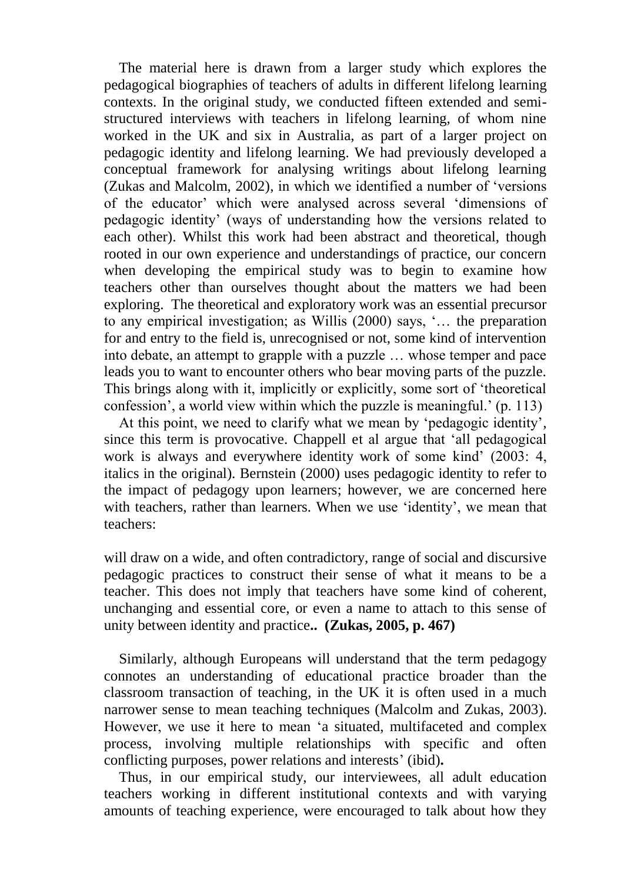The material here is drawn from a larger study which explores the pedagogical biographies of teachers of adults in different lifelong learning contexts. In the original study, we conducted fifteen extended and semistructured interviews with teachers in lifelong learning, of whom nine worked in the UK and six in Australia, as part of a larger project on pedagogic identity and lifelong learning. We had previously developed a conceptual framework for analysing writings about lifelong learning (Zukas and Malcolm, 2002), in which we identified a number of 'versions of the educator' which were analysed across several 'dimensions of pedagogic identity' (ways of understanding how the versions related to each other). Whilst this work had been abstract and theoretical, though rooted in our own experience and understandings of practice, our concern when developing the empirical study was to begin to examine how teachers other than ourselves thought about the matters we had been exploring. The theoretical and exploratory work was an essential precursor to any empirical investigation; as Willis (2000) says, '… the preparation for and entry to the field is, unrecognised or not, some kind of intervention into debate, an attempt to grapple with a puzzle … whose temper and pace leads you to want to encounter others who bear moving parts of the puzzle. This brings along with it, implicitly or explicitly, some sort of 'theoretical confession', a world view within which the puzzle is meaningful.' (p. 113)

At this point, we need to clarify what we mean by 'pedagogic identity', since this term is provocative. Chappell et al argue that 'all pedagogical work is always and everywhere identity work of some kind' (2003: 4, italics in the original). Bernstein (2000) uses pedagogic identity to refer to the impact of pedagogy upon learners; however, we are concerned here with teachers, rather than learners. When we use 'identity', we mean that teachers:

will draw on a wide, and often contradictory, range of social and discursive pedagogic practices to construct their sense of what it means to be a teacher. This does not imply that teachers have some kind of coherent, unchanging and essential core, or even a name to attach to this sense of unity between identity and practice**.. (Zukas, 2005, p. 467)** 

Similarly, although Europeans will understand that the term pedagogy connotes an understanding of educational practice broader than the classroom transaction of teaching, in the UK it is often used in a much narrower sense to mean teaching techniques (Malcolm and Zukas, 2003). However, we use it here to mean 'a situated, multifaceted and complex process, involving multiple relationships with specific and often conflicting purposes, power relations and interests' (ibid)**.** 

Thus, in our empirical study, our interviewees, all adult education teachers working in different institutional contexts and with varying amounts of teaching experience, were encouraged to talk about how they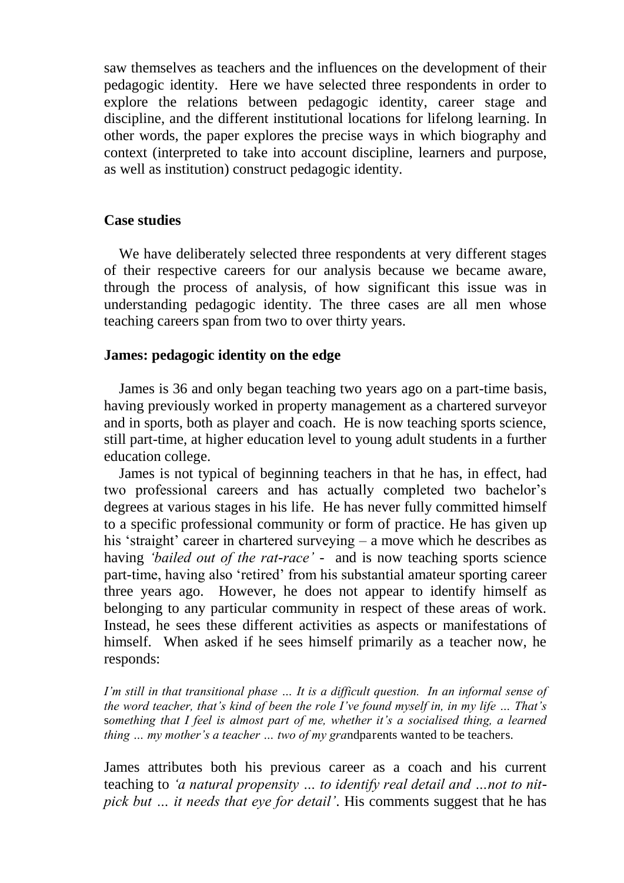saw themselves as teachers and the influences on the development of their pedagogic identity. Here we have selected three respondents in order to explore the relations between pedagogic identity, career stage and discipline, and the different institutional locations for lifelong learning. In other words, the paper explores the precise ways in which biography and context (interpreted to take into account discipline, learners and purpose, as well as institution) construct pedagogic identity.

# **Case studies**

We have deliberately selected three respondents at very different stages of their respective careers for our analysis because we became aware, through the process of analysis, of how significant this issue was in understanding pedagogic identity. The three cases are all men whose teaching careers span from two to over thirty years.

# **James: pedagogic identity on the edge**

James is 36 and only began teaching two years ago on a part-time basis, having previously worked in property management as a chartered surveyor and in sports, both as player and coach. He is now teaching sports science, still part-time, at higher education level to young adult students in a further education college.

James is not typical of beginning teachers in that he has, in effect, had two professional careers and has actually completed two bachelor's degrees at various stages in his life. He has never fully committed himself to a specific professional community or form of practice. He has given up his 'straight' career in chartered surveying – a move which he describes as having *'bailed out of the rat*-*race'* - and is now teaching sports science part-time, having also 'retired' from his substantial amateur sporting career three years ago. However, he does not appear to identify himself as belonging to any particular community in respect of these areas of work. Instead, he sees these different activities as aspects or manifestations of himself. When asked if he sees himself primarily as a teacher now, he responds:

*I'm still in that transitional phase ... It is a difficult question. In an informal sense of the word teacher, that's kind of been the role I've found myself in, in my life … That's*  s*omething that I feel is almost part of me, whether it's a socialised thing, a learned thing … my mother's a teacher … two of my gra*ndparents wanted to be teachers.

James attributes both his previous career as a coach and his current teaching to *'a natural propensity … to identify real detail and …not to nitpick but … it needs that eye for detail'*. His comments suggest that he has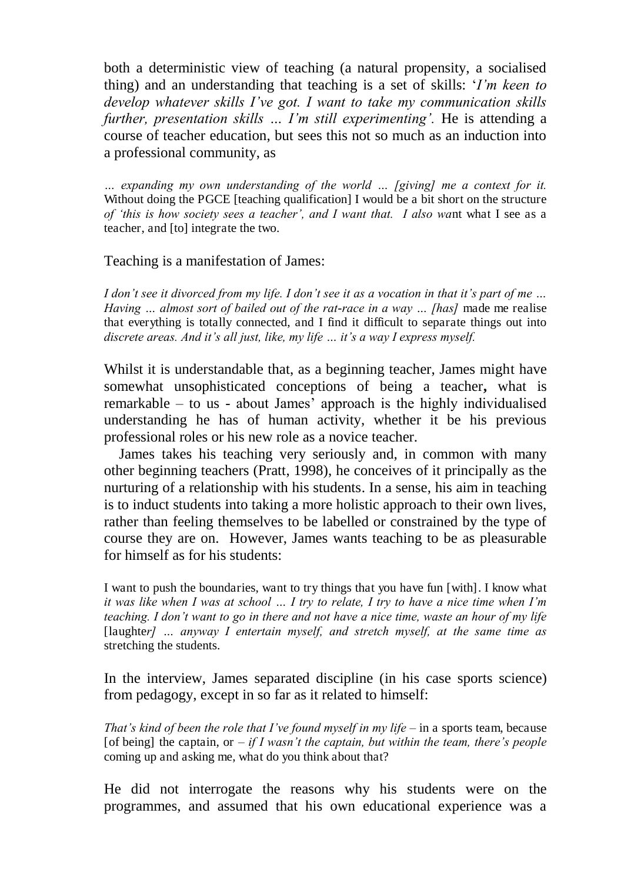both a deterministic view of teaching (a natural propensity, a socialised thing) and an understanding that teaching is a set of skills: '*I'm keen to develop whatever skills I've got. I want to take my communication skills further, presentation skills ... I'm still experimenting'.* He is attending a course of teacher education, but sees this not so much as an induction into a professional community, as

*… expanding my own understanding of the world … [giving] me a context for it.*  Without doing the PGCE [teaching qualification] I would be a bit short on the structure *of 'this is how society sees a teacher', and I want that. I also wa*nt what I see as a teacher, and [to] integrate the two.

#### Teaching is a manifestation of James:

*I don't see it divorced from my life. I don't see it as a vocation in that it's part of me … Having … almost sort of bailed out of the rat*-*race in a way … [has]* made me realise that everything is totally connected, and I find it difficult to separate things out into *discrete areas. And it's all just, like, my life … it's a way I express myself.*

Whilst it is understandable that, as a beginning teacher, James might have somewhat unsophisticated conceptions of being a teacher**,** what is remarkable – to us - about James' approach is the highly individualised understanding he has of human activity, whether it be his previous professional roles or his new role as a novice teacher.

James takes his teaching very seriously and, in common with many other beginning teachers (Pratt, 1998), he conceives of it principally as the nurturing of a relationship with his students. In a sense, his aim in teaching is to induct students into taking a more holistic approach to their own lives, rather than feeling themselves to be labelled or constrained by the type of course they are on. However, James wants teaching to be as pleasurable for himself as for his students:

I want to push the boundaries, want to try things that you have fun [with]. I know what *it was like when I was at school … I try to relate, I try to have a nice time when I'm teaching. I don't want to go in there and not have a nice time, waste an hour of my life*  [laughter] ... anyway I entertain myself, and stretch myself, at the same time as stretching the students.

In the interview, James separated discipline (in his case sports science) from pedagogy, except in so far as it related to himself:

*That's kind of been the role that I've found myself in my life –* in a sports team, because [of being] the captain, or  $-i f I$  wasn't the captain, but within the team, there's people coming up and asking me, what do you think about that?

He did not interrogate the reasons why his students were on the programmes, and assumed that his own educational experience was a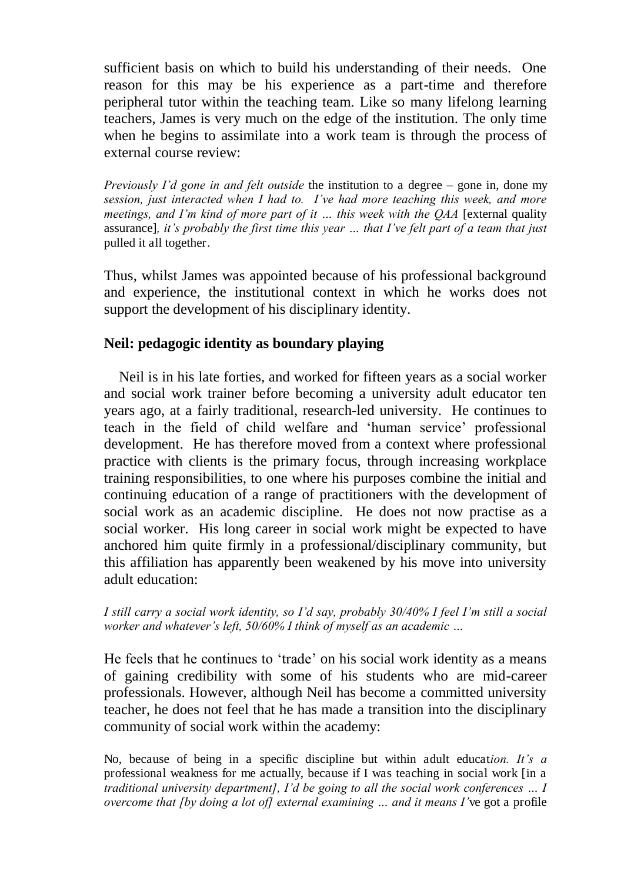sufficient basis on which to build his understanding of their needs. One reason for this may be his experience as a part-time and therefore peripheral tutor within the teaching team. Like so many lifelong learning teachers, James is very much on the edge of the institution. The only time when he begins to assimilate into a work team is through the process of external course review:

*Previously I'd gone in and felt outside* the institution to a degree *–* gone in, done my *session, just interacted when I had to. I've had more teaching this week, and more meetings, and I'm kind of more part of it … this week with the QAA* [external quality assurance]*, it's probably the first time this year … that I've felt part of a team that just*  pulled it all together.

Thus, whilst James was appointed because of his professional background and experience, the institutional context in which he works does not support the development of his disciplinary identity.

# **Neil: pedagogic identity as boundary playing**

Neil is in his late forties, and worked for fifteen years as a social worker and social work trainer before becoming a university adult educator ten years ago, at a fairly traditional, research-led university. He continues to teach in the field of child welfare and 'human service' professional development. He has therefore moved from a context where professional practice with clients is the primary focus, through increasing workplace training responsibilities, to one where his purposes combine the initial and continuing education of a range of practitioners with the development of social work as an academic discipline. He does not now practise as a social worker. His long career in social work might be expected to have anchored him quite firmly in a professional/disciplinary community, but this affiliation has apparently been weakened by his move into university adult education:

*I still carry a social work identity, so I'd say, probably 30/40% I feel I'm still a social worker and whatever's left, 50/60% I think of myself as an academic …*

He feels that he continues to 'trade' on his social work identity as a means of gaining credibility with some of his students who are mid-career professionals. However, although Neil has become a committed university teacher, he does not feel that he has made a transition into the disciplinary community of social work within the academy:

No, because of being in a specific discipline but within adult educat*ion. It's a*  professional weakness for me actually, because if I was teaching in social work [in a *traditional university department], I'd be going to all the social work conferences … I overcome that [by doing a lot of] external examining … and it means I'*ve got a profile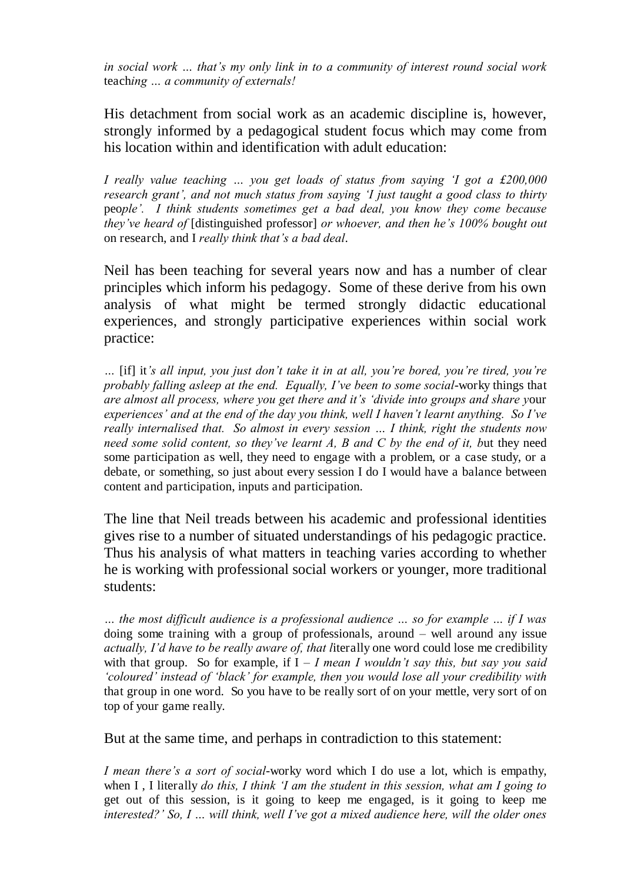*in social work … that's my only link in to a community of interest round social work*  teach*ing … a community of externals!*

His detachment from social work as an academic discipline is, however, strongly informed by a pedagogical student focus which may come from his location within and identification with adult education:

*I really value teaching … you get loads of status from saying 'I got a £200,000 research grant', and not much status from saying 'I just taught a good class to thirty*  peo*ple'. I think students sometimes get a bad deal, you know they come because they've heard of* [distinguished professor] *or whoever, and then he's 100% bought out*  on research, and I *really think that's a bad deal*.

Neil has been teaching for several years now and has a number of clear principles which inform his pedagogy. Some of these derive from his own analysis of what might be termed strongly didactic educational experiences, and strongly participative experiences within social work practice:

*…* [if] it*'s all input, you just don't take it in at all, you're bored, you're tired, you're probably falling asleep at the end. Equally, I've been to some social*-worky things that *are almost all process, where you get there and it's 'divide into groups and share y*our *experiences' and at the end of the day you think, well I haven't learnt anything. So I've really internalised that. So almost in every session … I think, right the students now need some solid content, so they've learnt A, B and C by the end of it, but they need* some participation as well, they need to engage with a problem, or a case study, or a debate, or something, so just about every session I do I would have a balance between content and participation, inputs and participation.

The line that Neil treads between his academic and professional identities gives rise to a number of situated understandings of his pedagogic practice. Thus his analysis of what matters in teaching varies according to whether he is working with professional social workers or younger, more traditional students:

*… the most difficult audience is a professional audience … so for example … if I was*  doing some training with a group of professionals, around *–* well around any issue *actually, I'd have to be really aware of, that l*iterally one word could lose me credibility with that group. So for example, if  $I - I$  mean I wouldn't say this, but say you said *'coloured' instead of 'black' for example, then you would lose all your credibility with*  that group in one word. So you have to be really sort of on your mettle, very sort of on top of your game really.

But at the same time, and perhaps in contradiction to this statement:

*I mean there's a sort of social*-worky word which I do use a lot, which is empathy, when I , I literally *do this, I think 'I am the student in this session, what am I going to*  get out of this session, is it going to keep me engaged, is it going to keep me *interested?' So, I … will think, well I've got a mixed audience here, will the older ones*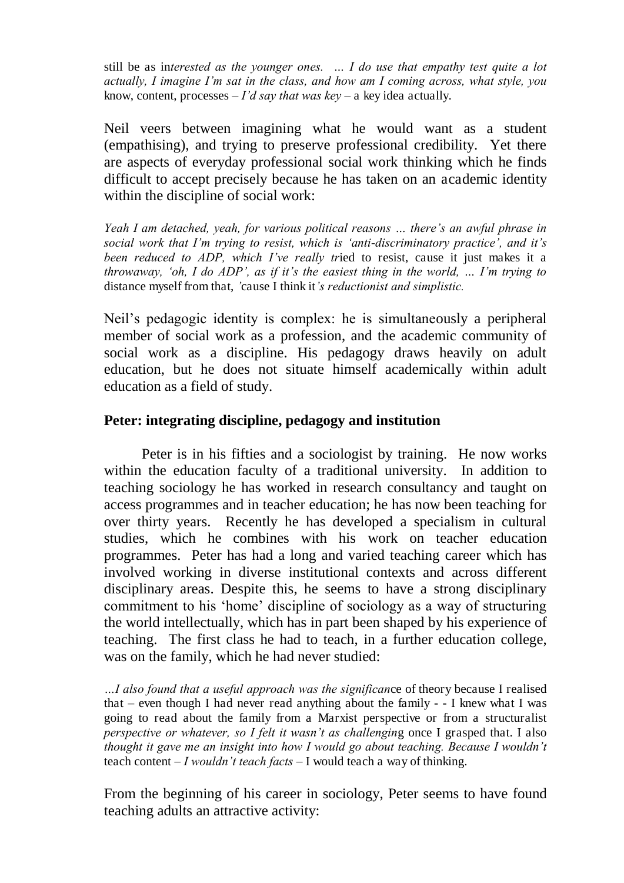still be as in*terested as the younger ones. … I do use that empathy test quite a lot actually, I imagine I'm sat in the class, and how am I coming across, what style, you*  know, content, processes *– I'd say that was key –* a key idea actually.

Neil veers between imagining what he would want as a student (empathising), and trying to preserve professional credibility. Yet there are aspects of everyday professional social work thinking which he finds difficult to accept precisely because he has taken on an academic identity within the discipline of social work:

*Yeah I am detached, yeah, for various political reasons … there's an awful phrase in social work that I'm trying to resist, which is 'anti*-*discriminatory practice', and it's been reduced to ADP, which I've really tr*ied to resist, cause it just makes it a *throwaway, 'oh, I do ADP', as if it's the easiest thing in the world, … I'm trying to*  distance myself from that, *'*cause I think it*'s reductionist and simplistic.*

Neil's pedagogic identity is complex: he is simultaneously a peripheral member of social work as a profession, and the academic community of social work as a discipline. His pedagogy draws heavily on adult education, but he does not situate himself academically within adult education as a field of study.

# **Peter: integrating discipline, pedagogy and institution**

Peter is in his fifties and a sociologist by training. He now works within the education faculty of a traditional university. In addition to teaching sociology he has worked in research consultancy and taught on access programmes and in teacher education; he has now been teaching for over thirty years. Recently he has developed a specialism in cultural studies, which he combines with his work on teacher education programmes. Peter has had a long and varied teaching career which has involved working in diverse institutional contexts and across different disciplinary areas. Despite this, he seems to have a strong disciplinary commitment to his 'home' discipline of sociology as a way of structuring the world intellectually, which has in part been shaped by his experience of teaching. The first class he had to teach, in a further education college, was on the family, which he had never studied:

*…I also found that a useful approach was the significan*ce of theory because I realised that *–* even though I had never read anything about the family - - I knew what I was going to read about the family from a Marxist perspective or from a structuralist *perspective or whatever, so I felt it wasn't as challengin*g once I grasped that. I also *thought it gave me an insight into how I would go about teaching. Because I wouldn't*  teach content *– I wouldn't teach facts –* I would teach a way of thinking.

From the beginning of his career in sociology, Peter seems to have found teaching adults an attractive activity: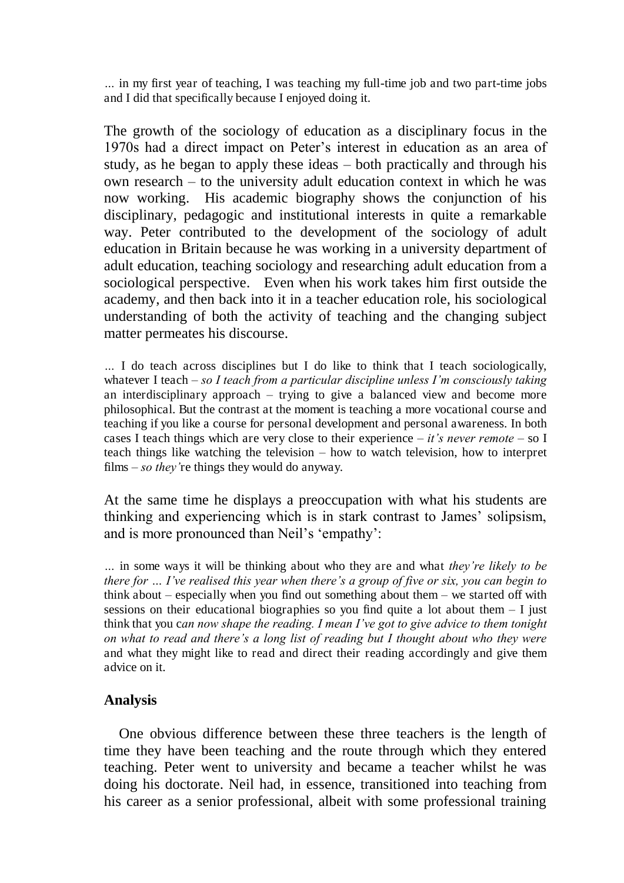*…* in my first year of teaching, I was teaching my full-time job and two part-time jobs and I did that specifically because I enjoyed doing it.

The growth of the sociology of education as a disciplinary focus in the 1970s had a direct impact on Peter's interest in education as an area of study, as he began to apply these ideas – both practically and through his own research – to the university adult education context in which he was now working. His academic biography shows the conjunction of his disciplinary, pedagogic and institutional interests in quite a remarkable way. Peter contributed to the development of the sociology of adult education in Britain because he was working in a university department of adult education, teaching sociology and researching adult education from a sociological perspective. Even when his work takes him first outside the academy, and then back into it in a teacher education role, his sociological understanding of both the activity of teaching and the changing subject matter permeates his discourse.

*…* I do teach across disciplines but I do like to think that I teach sociologically, whatever I teach *– so I teach from a particular discipline unless I'm consciously taking*  an interdisciplinary approach *–* trying to give a balanced view and become more philosophical. But the contrast at the moment is teaching a more vocational course and teaching if you like a course for personal development and personal awareness. In both cases I teach things which are very close to their experience *– it's never remote –* so I teach things like watching the television *–* how to watch television, how to interpret films *– so they'*re things they would do anyway.

At the same time he displays a preoccupation with what his students are thinking and experiencing which is in stark contrast to James' solipsism, and is more pronounced than Neil's 'empathy':

*…* in some ways it will be thinking about who they are and what *they're likely to be there for … I've realised this year when there's a group of five or six, you can begin to*  think about *–* especially when you find out something about them *–* we started off with sessions on their educational biographies so you find quite a lot about them *–* I just think that you c*an now shape the reading. I mean I've got to give advice to them tonight on what to read and there's a long list of reading but I thought about who they were*  and what they might like to read and direct their reading accordingly and give them advice on it.

#### **Analysis**

One obvious difference between these three teachers is the length of time they have been teaching and the route through which they entered teaching. Peter went to university and became a teacher whilst he was doing his doctorate. Neil had, in essence, transitioned into teaching from his career as a senior professional, albeit with some professional training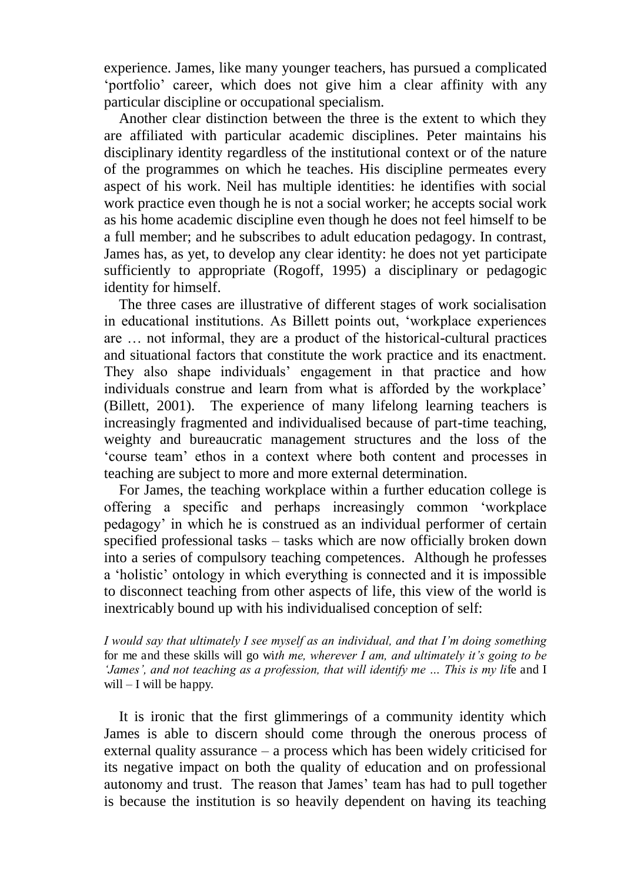experience. James, like many younger teachers, has pursued a complicated 'portfolio' career, which does not give him a clear affinity with any particular discipline or occupational specialism.

Another clear distinction between the three is the extent to which they are affiliated with particular academic disciplines. Peter maintains his disciplinary identity regardless of the institutional context or of the nature of the programmes on which he teaches. His discipline permeates every aspect of his work. Neil has multiple identities: he identifies with social work practice even though he is not a social worker; he accepts social work as his home academic discipline even though he does not feel himself to be a full member; and he subscribes to adult education pedagogy. In contrast, James has, as yet, to develop any clear identity: he does not yet participate sufficiently to appropriate (Rogoff, 1995) a disciplinary or pedagogic identity for himself.

The three cases are illustrative of different stages of work socialisation in educational institutions. As Billett points out, 'workplace experiences are … not informal, they are a product of the historical-cultural practices and situational factors that constitute the work practice and its enactment. They also shape individuals' engagement in that practice and how individuals construe and learn from what is afforded by the workplace' (Billett, 2001). The experience of many lifelong learning teachers is increasingly fragmented and individualised because of part-time teaching, weighty and bureaucratic management structures and the loss of the 'course team' ethos in a context where both content and processes in teaching are subject to more and more external determination.

For James, the teaching workplace within a further education college is offering a specific and perhaps increasingly common 'workplace pedagogy' in which he is construed as an individual performer of certain specified professional tasks – tasks which are now officially broken down into a series of compulsory teaching competences. Although he professes a 'holistic' ontology in which everything is connected and it is impossible to disconnect teaching from other aspects of life, this view of the world is inextricably bound up with his individualised conception of self:

*I would say that ultimately I see myself as an individual, and that I'm doing something*  for me and these skills will go wi*th me, wherever I am, and ultimately it's going to be 'James', and not teaching as a profession, that will identify me … This is my li*fe and I will *–* I will be happy.

It is ironic that the first glimmerings of a community identity which James is able to discern should come through the onerous process of external quality assurance – a process which has been widely criticised for its negative impact on both the quality of education and on professional autonomy and trust. The reason that James' team has had to pull together is because the institution is so heavily dependent on having its teaching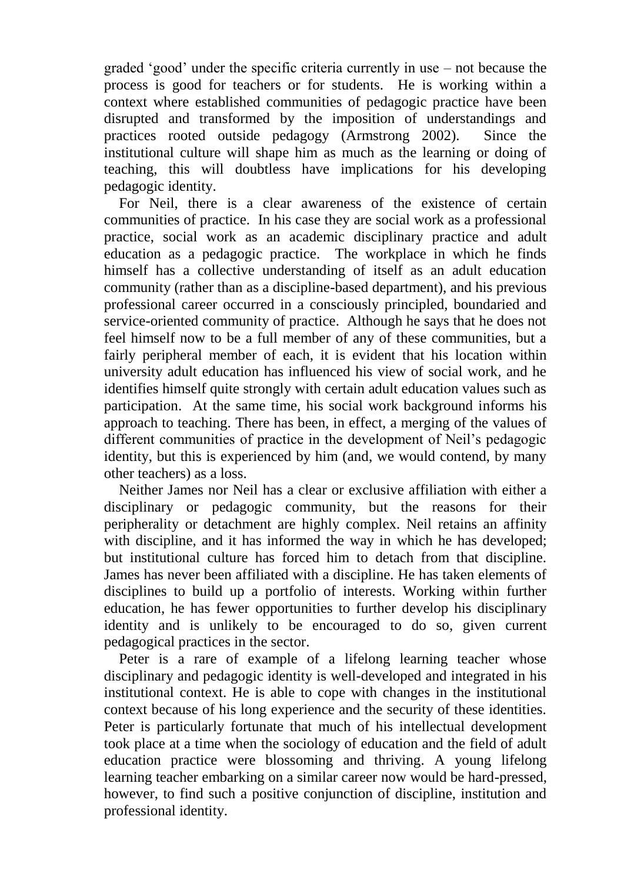graded 'good' under the specific criteria currently in use – not because the process is good for teachers or for students. He is working within a context where established communities of pedagogic practice have been disrupted and transformed by the imposition of understandings and practices rooted outside pedagogy (Armstrong 2002). Since the institutional culture will shape him as much as the learning or doing of teaching, this will doubtless have implications for his developing pedagogic identity.

For Neil, there is a clear awareness of the existence of certain communities of practice. In his case they are social work as a professional practice, social work as an academic disciplinary practice and adult education as a pedagogic practice. The workplace in which he finds himself has a collective understanding of itself as an adult education community (rather than as a discipline-based department), and his previous professional career occurred in a consciously principled, boundaried and service-oriented community of practice. Although he says that he does not feel himself now to be a full member of any of these communities, but a fairly peripheral member of each, it is evident that his location within university adult education has influenced his view of social work, and he identifies himself quite strongly with certain adult education values such as participation. At the same time, his social work background informs his approach to teaching. There has been, in effect, a merging of the values of different communities of practice in the development of Neil's pedagogic identity, but this is experienced by him (and, we would contend, by many other teachers) as a loss.

Neither James nor Neil has a clear or exclusive affiliation with either a disciplinary or pedagogic community, but the reasons for their peripherality or detachment are highly complex. Neil retains an affinity with discipline, and it has informed the way in which he has developed; but institutional culture has forced him to detach from that discipline. James has never been affiliated with a discipline. He has taken elements of disciplines to build up a portfolio of interests. Working within further education, he has fewer opportunities to further develop his disciplinary identity and is unlikely to be encouraged to do so, given current pedagogical practices in the sector.

Peter is a rare of example of a lifelong learning teacher whose disciplinary and pedagogic identity is well-developed and integrated in his institutional context. He is able to cope with changes in the institutional context because of his long experience and the security of these identities. Peter is particularly fortunate that much of his intellectual development took place at a time when the sociology of education and the field of adult education practice were blossoming and thriving. A young lifelong learning teacher embarking on a similar career now would be hard-pressed, however, to find such a positive conjunction of discipline, institution and professional identity.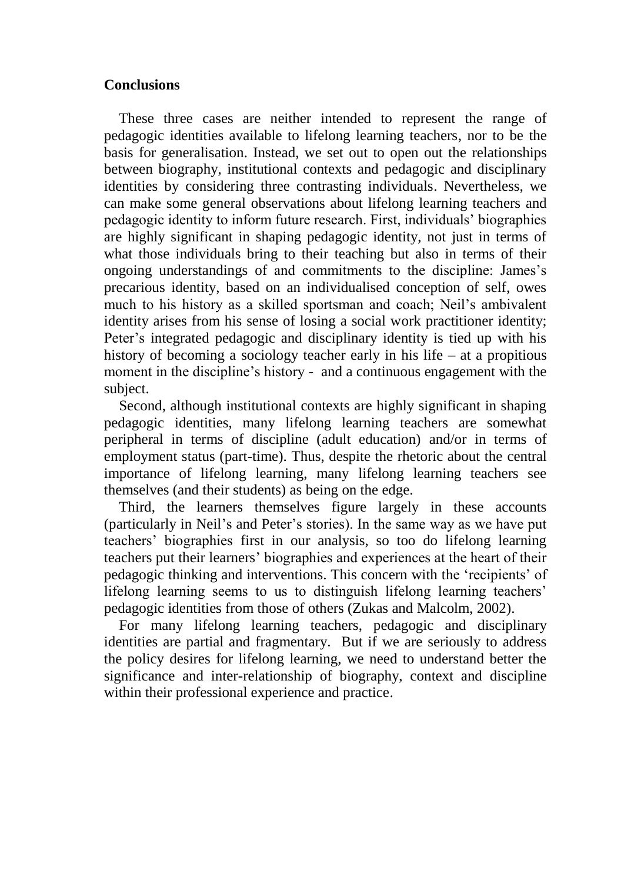# **Conclusions**

These three cases are neither intended to represent the range of pedagogic identities available to lifelong learning teachers, nor to be the basis for generalisation. Instead, we set out to open out the relationships between biography, institutional contexts and pedagogic and disciplinary identities by considering three contrasting individuals. Nevertheless, we can make some general observations about lifelong learning teachers and pedagogic identity to inform future research. First, individuals' biographies are highly significant in shaping pedagogic identity, not just in terms of what those individuals bring to their teaching but also in terms of their ongoing understandings of and commitments to the discipline: James's precarious identity, based on an individualised conception of self, owes much to his history as a skilled sportsman and coach; Neil's ambivalent identity arises from his sense of losing a social work practitioner identity; Peter's integrated pedagogic and disciplinary identity is tied up with his history of becoming a sociology teacher early in his life – at a propitious moment in the discipline's history - and a continuous engagement with the subject.

Second, although institutional contexts are highly significant in shaping pedagogic identities, many lifelong learning teachers are somewhat peripheral in terms of discipline (adult education) and/or in terms of employment status (part-time). Thus, despite the rhetoric about the central importance of lifelong learning, many lifelong learning teachers see themselves (and their students) as being on the edge.

Third, the learners themselves figure largely in these accounts (particularly in Neil's and Peter's stories). In the same way as we have put teachers' biographies first in our analysis, so too do lifelong learning teachers put their learners' biographies and experiences at the heart of their pedagogic thinking and interventions. This concern with the 'recipients' of lifelong learning seems to us to distinguish lifelong learning teachers' pedagogic identities from those of others (Zukas and Malcolm, 2002).

For many lifelong learning teachers, pedagogic and disciplinary identities are partial and fragmentary. But if we are seriously to address the policy desires for lifelong learning, we need to understand better the significance and inter-relationship of biography, context and discipline within their professional experience and practice.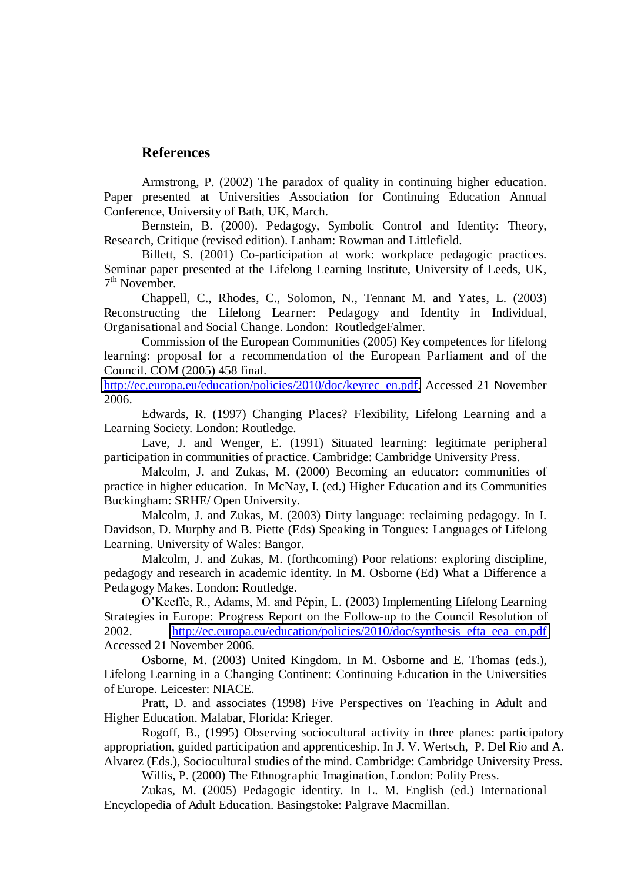#### **References**

Armstrong, P. (2002) The paradox of quality in continuing higher education. Paper presented at Universities Association for Continuing Education Annual Conference, University of Bath, UK, March.

Bernstein, B. (2000). Pedagogy, Symbolic Control and Identity: Theory, Research, Critique (revised edition). Lanham: Rowman and Littlefield.

Billett, S. (2001) Co-participation at work: workplace pedagogic practices. Seminar paper presented at the Lifelong Learning Institute, University of Leeds, UK, 7<sup>th</sup> November.

Chappell, C., Rhodes, C., Solomon, N., Tennant M. and Yates, L. (2003) Reconstructing the Lifelong Learner: Pedagogy and Identity in Individual, Organisational and Social Change. London: RoutledgeFalmer.

Commission of the European Communities (2005) Key competences for lifelong learning: proposal for a recommendation of the European Parliament and of the Council. COM (2005) 458 final.

[http://ec.europa.eu/education/policies/2010/doc/keyrec\\_en.pdf.](http://ec.europa.eu/education/policies/2010/doc/keyrec_en.pdf) Accessed 21 November 2006.

Edwards, R. (1997) Changing Places? Flexibility, Lifelong Learning and a Learning Society. London: Routledge.

Lave, J. and Wenger, E. (1991) Situated learning: legitimate peripheral participation in communities of practice. Cambridge: Cambridge University Press.

Malcolm, J. and Zukas, M. (2000) Becoming an educator: communities of practice in higher education. In McNay, I. (ed.) Higher Education and its Communities Buckingham: SRHE/ Open University.

Malcolm, J. and Zukas, M. (2003) Dirty language: reclaiming pedagogy. In I. Davidson, D. Murphy and B. Piette (Eds) Speaking in Tongues: Languages of Lifelong Learning. University of Wales: Bangor.

Malcolm, J. and Zukas, M. (forthcoming) Poor relations: exploring discipline, pedagogy and research in academic identity. In M. Osborne (Ed) What a Difference a Pedagogy Makes. London: Routledge.

O'Keeffe, R., Adams, M. and Pépin, L. (2003) Implementing Lifelong Learning Strategies in Europe: Progress Report on the Follow-up to the Council Resolution of 2002. [http://ec.europa.eu/education/policies/2010/doc/synthesis\\_efta\\_eea\\_en.pdf](http://ec.europa.eu/education/policies/2010/doc/synthesis_efta_eea_en.pdf) Accessed 21 November 2006.

Osborne, M. (2003) United Kingdom. In M. Osborne and E. Thomas (eds.), Lifelong Learning in a Changing Continent: Continuing Education in the Universities of Europe. Leicester: NIACE.

Pratt, D. and associates (1998) Five Perspectives on Teaching in Adult and Higher Education. Malabar, Florida: Krieger.

Rogoff, B., (1995) Observing sociocultural activity in three planes: participatory appropriation, guided participation and apprenticeship. In J. V. Wertsch, P. Del Rio and A. Alvarez (Eds.), Sociocultural studies of the mind. Cambridge: Cambridge University Press.

Willis, P. (2000) The Ethnographic Imagination, London: Polity Press.

Zukas, M. (2005) Pedagogic identity. In L. M. English (ed.) International Encyclopedia of Adult Education. Basingstoke: Palgrave Macmillan.